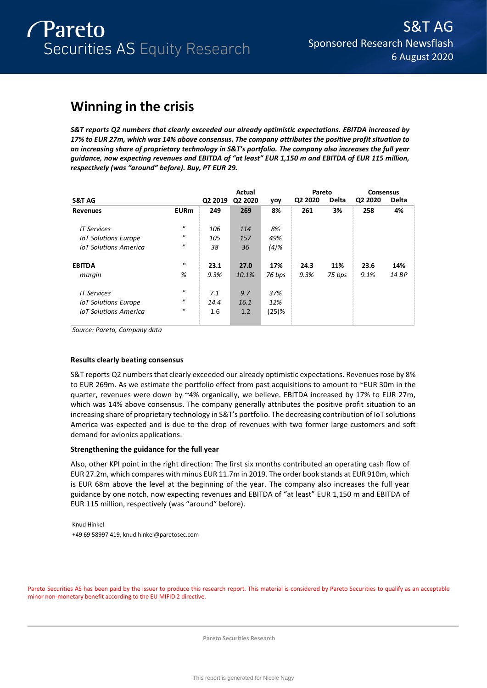# **Winning in the crisis**

*S&T reports Q2 numbers that clearly exceeded our already optimistic expectations. EBITDA increased by 17% to EUR 27m, which was 14% above consensus. The company attributes the positive profit situation to an increasing share of proprietary technology in S&T's portfolio. The company also increases the full year guidance, now expecting revenues and EBITDA of "at least" EUR 1,150 m and EBITDA of EUR 115 million, respectively (was "around" before). Buy, PT EUR 29.* 

|                              |                   |         | <b>Actual</b> |          | Pareto  |              | <b>Consensus</b> |              |
|------------------------------|-------------------|---------|---------------|----------|---------|--------------|------------------|--------------|
| S&T AG                       |                   | Q2 2019 | Q2 2020       | yoy      | Q2 2020 | <b>Delta</b> | Q2 2020          | <b>Delta</b> |
| <b>Revenues</b>              | <b>EURm</b>       | 249     | 269           | 8%       | 261     | 3%           | 258              | 4%           |
| <b>IT Services</b>           | $^{\prime\prime}$ | 106     | 114           | 8%       |         |              |                  |              |
| <b>IoT Solutions Europe</b>  | $^{\prime\prime}$ | 105     | 157           | 49%      |         |              |                  |              |
| <b>IoT Solutions America</b> | $^{\prime\prime}$ | 38      | 36            | $(4)$ %  |         |              |                  |              |
| <b>EBITDA</b>                | $\mathbf{u}$      | 23.1    | 27.0          | 17%      | 24.3    | 11%          | 23.6             | 14%          |
| margin                       | %                 | 9.3%    | 10.1%         | 76 bps   | 9.3%    | 75 bps       | 9.1%             | 14 BP        |
| <b>IT Services</b>           | $^{\prime\prime}$ | 7.1     | 9.7           | 37%      |         |              |                  |              |
| <b>IoT Solutions Europe</b>  | $^{\prime\prime}$ | 14.4    | 16.1          | 12%      |         |              |                  |              |
| <b>IoT Solutions America</b> | $^{\prime\prime}$ | 1.6     | 1.2           | $(25)$ % |         |              |                  |              |

*Source: Pareto, Company data*

### **Results clearly beating consensus**

S&T reports Q2 numbers that clearly exceeded our already optimistic expectations. Revenues rose by 8% to EUR 269m. As we estimate the portfolio effect from past acquisitions to amount to ~EUR 30m in the quarter, revenues were down by ~4% organically, we believe. EBITDA increased by 17% to EUR 27m, which was 14% above consensus. The company generally attributes the positive profit situation to an increasing share of proprietary technology in S&T's portfolio. The decreasing contribution of IoT solutions America was expected and is due to the drop of revenues with two former large customers and soft demand for avionics applications.

### **Strengthening the guidance for the full year**

Also, other KPI point in the right direction: The first six months contributed an operating cash flow of EUR 27.2m, which compares with minus EUR 11.7m in 2019. The order book stands at EUR 910m, which is EUR 68m above the level at the beginning of the year. The company also increases the full year guidance by one notch, now expecting revenues and EBITDA of "at least" EUR 1,150 m and EBITDA of EUR 115 million, respectively (was "around" before).

Knud Hinkel +49 69 58997 419, knud.hinkel@paretosec.com

Pareto Securities AS has been paid by the issuer to produce this research report. This material is considered by Pareto Securities to qualify as an acceptable minor non-monetary benefit according to the EU MIFID 2 directive.

**Pareto Securities Research**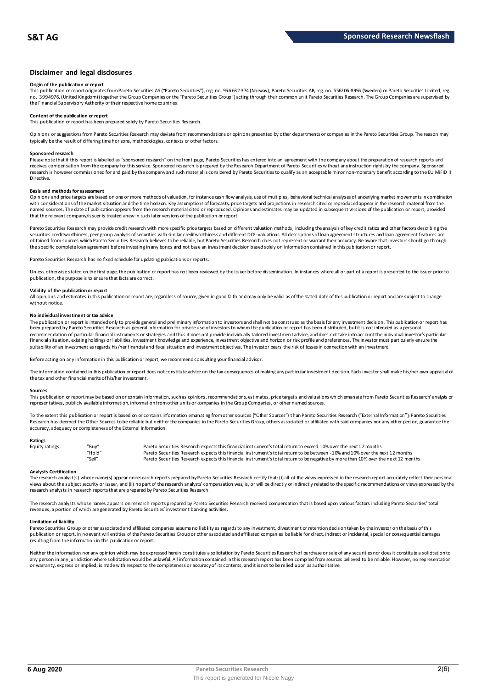### **Disclaimer and legal disclosures**

#### **Origin of the publication or report**

This publication or report originates from Pareto Securities AS ("Pareto Securities"), reg. no. 956 632 374 (Norway), Pareto Securities AB, reg. no. 556206-8956 (Sweden) or Pareto Securities Limited, reg. no. 3994976, (United Kingdom) (together the Group Companies or the "Pareto Securities Group") acting through their common un it Pareto Securities Research. The Group Companies are supervised by<br>the Financial Supervisory Au

## **Content of the publication or report**

This publication or report has been prepared solely by Pareto Securities Research.

Opinions or suggestions from Pareto Securities Research may deviate from recommendations or opinions presented by other departments or companies in the Pareto Securities Group. The reason may typically be the result of differing time horizons, methodologies, contexts or other factors.

#### **Sponsored research**

Please note that if this report is labelled as "sponsored research" on the front page, Pareto Securities has entered into an agreement with the company about the preparation of research reports and<br>receives compensation fr research is however commissioned for and paid by the company and such material is considered by Pareto Securities to qualify as an acceptable minor non-monetary benefit according to the EU MiFID II Directive.

#### **Basis and methods for assessment**

Opinions and price targets are based on one or more methods of valuation, for instance cash flow analysis, use of multiples, behavioral technical analyses of underlying market movements in combination with considerations of the market situation and the time horizon. Key assumptions of forecasts, price targets and projections in research cited or reproduced appear in the research material from the named sources. The date of publication appears from the research material cited or reproduced. Opinions and estimates may be updated in subsequent versions of the publication or report, provided that the relevant company/issuer is treated anew in such later versions of the publication or report.

Pareto Securities Research may provide credit research with more specific price targets based on different valuation methods, including the analysis of key credit ratios and other factors describing the securities creditworthiness, peer group analysis of securities with similar creditworthiness and different DCF-valuations. All descriptions of loan agreement structures and loan agreement features are obtained from sources which Pareto Securities Research believes to be reliable, but Pareto Securities Research does not represent or warrant their accuracy. Be aware that investors should go through the specific complete loan agreement before investing in any bonds and not base an investment decision based solely on information contained in this publication or report.

Pareto Securities Research has no fixed schedule for updating publications or reports.

Unless otherwise stated on the first page, the publication or report has not been reviewed by the issuer before dissemination. In instances where all or part of a report is presented to the issuer prior to publication, the purpose is to ensure that facts are correct.

#### **Validity of the publication or report**

All opinions and estimates in this publication or report are, regardless of source, given in good faith and may only be valid as of the stated date of this publication or report and are subject to change without notice.

#### **No individual investment or tax advice**

The publication or report is intended only to provide general and preliminary information to investors and shall not be construed as the basis for any investment decision. This publication or report has<br>been prepared by Pa recommendation of particular financial instruments or strategies and thus it does not provide individually tailored investmen t advice, and does not take into account the individual investor's particular financial situation, existing holdings or liabilities, investment knowledge and experience, investment objective and horizon or risk profile and preferences. The investor must particularly ensure the suitability of an investment as regards his/her financial and fiscal situation and investment objectives. The investor bears the risk of losses in connection with an investment.

Before acting on any information in this publication or report, we recommend consulting your financial advisor.

The information contained in this publication or report does not constitute advice on the tax consequences of making any particular investment decision. Each investor shall make his/her own appraisal of the tax and other financial merits of his/her investment.

#### **Sources**

This publication or report may be based on or contain information, such as opinions, recommendations, estimates, price targets and valuations which emanate from Pareto Securities Research' analysts or representatives, publicly available information, information from other units or companies in the Group Companies, or other named sources.

To the extent this publication or report is based on or contains information emanating from other sources ("Other Sources") than Pareto Securities Research ("External Information"), Pareto Securities Research has deemed the Other Sources to be reliable but neither the companies in the Pareto Securities Group, others associated or affiliated with said companies nor any other person, guarantee the accuracy, adequacy or completeness of the External Information.

#### **Ratings**

| Equity ratings: | "Buy"  | Pareto Securities Research expects this financial instrument's total return to exceed 10% over the next 12 months                   |
|-----------------|--------|-------------------------------------------------------------------------------------------------------------------------------------|
|                 | "Hold" | Pareto Securities Research expects this financial instrument's total return to be between -10% and 10% over the next 12 months      |
|                 | "Sell" | Pareto Securities Research expects this financial instrument's total return to be negative by more than 10% over the next 12 months |

**Analysts Certification**<br>The research analystis) whose name(s) appear on research reports prepared by Pareto Securities Research certify that: (i) all of the views expressed in the research report accurately reflect their "Hold"<br>"Sell" Pareto Securities Research expects this financial instrument's total return to be between -10% and 10% over the next 12 months<br>"Sell" Pareto Securities Research expects this financial instrument's total retur research analysts in research reports that are prepared by Pareto Securities Research.

The research analysts whose names appears on research reports prepared by Pareto Securities Research received compensation that is based upon various factors including Pareto Securities' total revenues, a portion of which are generated by Pareto Securities' investment banking activities.

#### **Limitation of liability**

Pareto Securities Group or other associated and affiliated companies assume no liability as regards to any investment, divestment or retention decision taken by the investor on the basis of this publication or report. In no event will entities of the Pareto Securities Group or other associated and affiliated companies be liable for direct, indirect or incidental, special or consequential damages resulting from the information in this publication or report.

Neither the information nor any opinion which may be expressed herein constitutes a solicitation by Pareto Securities Research of purchase or sale of any securities nor does it constitute a solicitation to any person in any jurisdiction where solicitation would be unlawful. All information contained in this research report has been compiled from sources believed to be reliable. However, no representation or warranty, express or implied, is made with respect to the completeness or accuracy of its contents, and it is not to be relied upon as authoritative.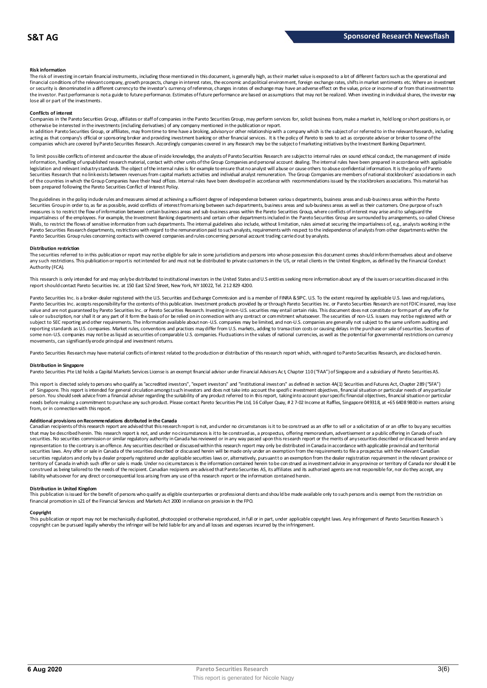#### **Risk information**

The risk of investing in certain financial instruments, including those mentioned in this document, is generally high, as their market value is exposed to a lot of different factors such as the operational and financial conditions of the relevant company, growth prospects, change in interest rates, the economic and political environment, foreign exchange rates, shifts in market sentiments etc. Where an investment or security is denominated in a different currency to the investor's currency of reference, changes in rates of exchange may have an adverse effect on the value, price or income of or from that investment to the investor. Past performance is not a guide to future performance. Estimates of future performance are based on assumptions that may not be realized. When investing in individual shares, the investor may lose all or part of the investments.

#### **Conflicts of interest**

Companies in the Pareto Securities Group, affiliates or staff of companies in the Pareto Securities Group, may perform services for, solicit business from, make a market in, hold long or short positions in, or otherwise be interested in the investments (including derivatives) of any company mentioned in the publication or report.<br>In addition Pareto Securities Group, or affiliates, may from time to time have a broking, advisory o

acting as that company's official or sponsoring broker and providing investment banking or other financial services. It is the policy of Pareto to seek to act as corporate adviser or broker to some of the companies which are covered by Pareto Securities Research. Accordingly companies covered in any Research may be the subject o f marketing initiatives by the Investment Banking Department.

To limit possible conflicts of interest and counter the abuse of inside knowledge, the analysts of Pareto Securities Research are subject to internal rules on sound ethical conduct, the management of inside information, handling of unpublished research material, contact with other units of the Group Companies and personal account dealing. The internal rules have been prepared in accordance with applicable legislation and relevant industry standards. The object of the internal rules is for example to ensure that no analyst will abuse or cause others to abuse confidential information. It is the policy of Pareto Securities Research that no link exists between revenues from capital markets activities and individual analyst remuneration. The Group Companies are members of national stockbrokers' associations in each of the countries in which the Group Companies have their head offices. Internal rules have been developed in accordance with recommendations issued by the stockbrokers associations. This material has been prepared following the Pareto Securities Conflict of Interest Policy.

The guidelines in the policy indude rules and measures aimed at achieving a sufficient degree of independence between various departments, business areas and sub-business areas within the Pareto Securities Group in order to, as far as possible, avoid conflicts of interest from arising between such departments, business areas and sub-business areas as well as their customers. One purpose of such measures is to restrict the flow of information between certain business areas and sub-business areas within the Pareto Securities Group, where conflicts of interest may arise and to safeguard the inpartialness of the empl The guidelines in the policy indude rules and measures aimed at achieving a sufficient degree of independence between various departments, business areas and sub-business areas within the Pareto<br>Securities Group in order t Pareto Securities Group rules concerning contacts with covered companies and rules concerning personal account trading carried out by analysts.

#### **Distribution restriction**

The securities referred to in this publication or report may not be eligible for sale in some jurisdictions and persons into whose possession this document comes should inform themselves about and observe Pareto Securities Group rules concerning contacts with covered companies and rules concerning personal account trading carried out by analysts.<br>Distribution restriction<br>The securities referred to in this publication or rep Authority (FCA).

This research is only intended for and may only be distributed to institutional investors in the United States and U.S entities seeking more information about any of the issuers or securities discussed in this report should contact Pareto Securities Inc. at 150 East 52nd Street, New York, NY 10022, Tel. 212 829 4200.

Pareto Securities Inc. is a broker-dealer registered with the U.S. Securities and Exchange Commission and is a member of FINRA & SPC. U.S. To the extent required by applicable U.S. laws and regulations, Pareto Securities Inc. accepts responsibility for the contents of this publication. Investment products provided by or through Pareto Securities Inc. or Pareto Securities Research are not FDIC insured, may lose<br>value and a sale or subscription, nor shall it or any part of it form the basis of or be relied on in connection with any contract or commitment whatsoever. The securities of non-U.S. issuers may not be registered with or subject to SEC reporting and other requirements. The information available about non-U.S. companies may be limited, and non-U.S. companies are generally not subject to the same unifom auditing and<br>reporting standards as U some non-U.S. companies may not be as liquid as securities of comparable U.S. companies. Fluctuations in the values of national currencies, as well as the potential for governmental restrictions on currency movements, can significantly erode principal and investment returns.

Pareto Securities Research may have material conflicts of interest related to the production or distribution of this research report which, with regard to Pareto Securities Research, are disclosed herein.

#### **Distribution in Singapore**

Pareto Securities Pte Ltd holds a Capital Markets Services License is an exempt financial advisor under Financial Advisers Ac t, Chapter 110 ("FAA") of Singapore and a subsidiary of Pareto Securities AS.

This report is directed solely to persons who qualify as "accredited investors", "expert investors" and "institutional investors" as defined in section 4A(1) Securities and Futures Act, Chapter 289 ("SFA") **Distribution in Singapore**<br>Pareto Securities Pte Ltd holds a Capital Markets Services License is an exempt financial advisor under Financial Advisers Act, Chapter 110 ("FAA") of Singapore and a subsidiary of Pareto Securi person. You should seek advice from a financial adviser regarding the suitability of any product referred to in this report, taking into account your specific financial objectives, financial situation or particular needs before making a commitment to purchase any such product. Please contact Pareto Securities Pte Ltd, 16 Collyer Quay, # 2 7-02 Income at Raffles, Singapore 049318, at +65 6408 9800 in matters arising<br>from, or in connec needs before making a commitment to purchase any such product. Please contact Pareto Securities Pte Ltd, 16 Collyer Quay, #2 7-02 Income at Raffles, Singapore 049318, at +65 6408 9800 in matters arisin<br>from, or in connecti

#### **Additional provisions on Recommendations distributed in the Canada**

That may be described herein. This research report are advised that this research report is not, and under no circumstances is it to be construed as an offer to sell or a solicitation of or an offer to buy any securities<br>t securities. No securities commission or similar regulatory authority in Canada has reviewed or in any way passed upon this research report or the merits of any securities described or discussed herein and any representation to the contrary is an offence. Any securities described or discussed within this research report may only be distributed in Canada in accordance with applicable provincial and territorial securities laws. Any offer or sale in Canada of the securities described or discussed herein will be made only under an exemption from the requirements to file a prospectus with the relevant Canadian securities regulators and only bya dealer properly registered under applicable securities laws or, alternatively, pursuant to an exemption from the dealer registration requirement in the relevant province or<br>territory of C construed as being tailored to the needs of the recipient. Canadian recipients are advised that Pareto Securities AS, its affiliates and its authorized agents are not responsible for, nor do they accept, any liability whatsoever for any direct or consequential loss arising from any use of this research report or the information contained herein.

#### **Distribution in United Kingdom**

This publication is issued for the benefit of persons who qualify as eligible counterparties or professional dients and should be made available only to such persons and is exempt from the restriction on financial promotion in s21 of the Financial Services and Markets Act 2000 in reliance on provision in the FPO.

#### **Copyright**

This publication or report may not be mechanically duplicated, photocopied or otherwise reproduced, in full or in part, under applicable copyright laws. Any infringement of Pareto Securities Research´s copyright can be pursued legally whereby the infringer will be held liable for any and all losses and expenses incurred by the infringement.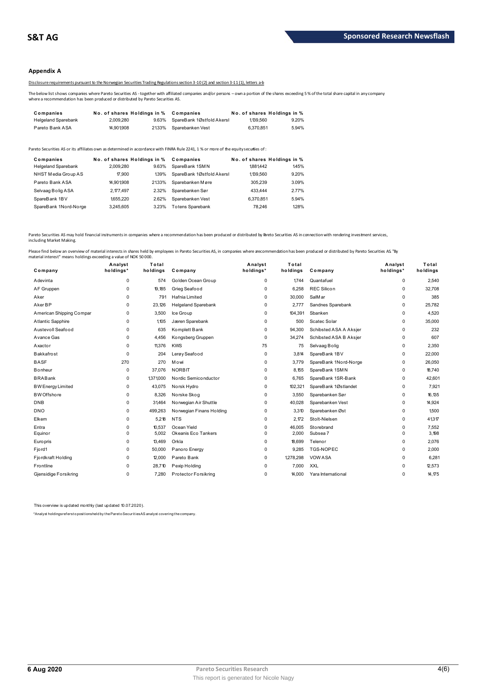### **Appendix A**

Disclosure requirements pursuant to the Norwegian Securities Trading Regulations section 3-10 (2) and section 3-11 (1), letters a-b

The below list shows companies where Pareto Securities AS - together with affiliated companies and/or persons – own a portion of the shares exceeding 5 % of the total share capital in any company<br>where a recommendation has

|                                                                                                                                                                                                                                           |                             |       | Disclosure requirements pursuant to the Norwegian Securities Trading Regulations section 3-10(2) and section 3-11(1), letters a-b |                             |       |  |  |
|-------------------------------------------------------------------------------------------------------------------------------------------------------------------------------------------------------------------------------------------|-----------------------------|-------|-----------------------------------------------------------------------------------------------------------------------------------|-----------------------------|-------|--|--|
| The below list shows companies where Pareto Securities AS - together with affiliated companies and/or persons - own a portion of the shares exceeding<br>where a recommendation has been produced or distributed by Pareto Securities AS. |                             |       |                                                                                                                                   |                             |       |  |  |
| Companies                                                                                                                                                                                                                                 | No. of shares Holdings in % |       | Companies                                                                                                                         | No. of shares Holdings in % |       |  |  |
| <b>Helgeland Sparebank</b>                                                                                                                                                                                                                | 2.009.280                   | 9.63% | SpareBank 1Østfold Akersl                                                                                                         | 1.139.560                   | 9.20% |  |  |
|                                                                                                                                                                                                                                           |                             |       |                                                                                                                                   |                             |       |  |  |

| <b>I GIULU DAIIN AUA</b>                | 17.00 I.000                              |       | <u>2</u> IVV V UDRIGDATING I V GOL                                                                                                    | <b>U.U.U.U.</b> U | $3.5 + 70$                           |
|-----------------------------------------|------------------------------------------|-------|---------------------------------------------------------------------------------------------------------------------------------------|-------------------|--------------------------------------|
|                                         |                                          |       | Pareto Securities AS or its affiliates own as determined in accordance with FINRA Rule 2241, 1 % or more of the equity securijes of : |                   |                                      |
| Companies<br><b>Helgeland Sparebank</b> | No. of shares Holdings in %<br>2.009.280 | 9.63% | Companies<br>SpareBank 1SMN                                                                                                           | 1881442           | No. of shares Holdings in %<br>1.45% |
| NHST Media Group AS                     | 17.900                                   | 139%  | SpareBank 1Østfold Akersl                                                                                                             | 1.139.560         | 9.20%                                |
| Pareto Bank ASA                         | 14.901.908                               | 2133% | Sparebanken Møre                                                                                                                      | 305.239           | 3.09%                                |
| Selvaag Bolig ASA                       | 2.177.497                                | 2.32% | Sparebanken Sør                                                                                                                       | 433,444           | 2.77%                                |
| SpareBank 1BV                           | 1655.220                                 | 2.62% | Sparebanken Vest                                                                                                                      | 6.370.851         | 5.94%                                |
| SpareBank 1Nord-Norge                   | 3.245.605                                | 3.23% | <b>Totens Sparebank</b>                                                                                                               | 78.246            | 128%                                 |
|                                         |                                          |       |                                                                                                                                       |                   |                                      |

Pareto Securities AS may hold financial instruments in companies where a recommendation has been produced or distributed by Pareto Securities AS in connection with rendering investment services,<br>including Market Making.

| Company                  | Analyst<br>holdings* | Total<br>holdings | Company                     | Analyst<br>holdings* | Total<br>holdings | Company                | Analyst<br>holdings* | Total<br>holdings |
|--------------------------|----------------------|-------------------|-----------------------------|----------------------|-------------------|------------------------|----------------------|-------------------|
| Adevinta                 | 0                    | 574               | Golden Ocean Group          | 0                    | 1.744             | Quantafuel             | 0                    | 2,540             |
| AF Gruppen               | 0                    | 19,185            | Grieg Seafood               | $\Omega$             | 6,258             | <b>REC Silicon</b>     | 0                    | 32,708            |
| Aker                     | 0                    | 791               | Hafnia Limited              | $\Omega$             | 30,000            | SalM ar                | 0                    | 385               |
| Aker BP                  | 0                    | 23,126            | <b>Helgeland Sparebank</b>  | 0                    | 2,777             | Sandnes Sparebank      | 0                    | 25,782            |
| American Shipping Compar | 0                    | 3,500             | Ice Group                   | $\Omega$             | 104,391           | Sbanken                | 0                    | 4,520             |
| <b>Atlantic Sapphire</b> | $\Omega$             | 1,105             | Jæren Sparebank             | $\Omega$             | 500               | Scatec Solar           | 0                    | 35,000            |
| Austevoll Seafood        | 0                    | 635               | Komplett Bank               | 0                    | 94,300            | Schibsted ASA A Aksjer | 0                    | 232               |
| Avance Gas               | 0                    | 4,456             | Kongsberg Gruppen           | 0                    | 34,274            | Schibsted ASA B Aksjer | 0                    | 607               |
| Axactor                  | 0                    | 11,376            | <b>KWS</b>                  | 75                   | 75                | Selvaag Bolig          | 0                    | 2,350             |
| Bakkafrost               | 0                    | 204               | Lerøy Seafood               | 0                    | 3.814             | SpareBank 1BV          | 0                    | 22,000            |
| <b>BASF</b>              | 270                  | 270               | Mowi                        | $\Omega$             | 3,779             | SpareBank 1Nord-Norge  | 0                    | 26,050            |
| <b>Bonheur</b>           | 0                    | 37,076            | <b>NORBIT</b>               | $\Omega$             | 8,155             | SpareBank 1SMN         | 0                    | 18,740            |
| <b>BRABank</b>           | 0                    | 1,371,000         | Nordic Semiconductor        | $\Omega$             | 6,765             | SpareBank 1SR-Bank     | 0                    | 42,601            |
| <b>BW Energy Limited</b> | 0                    | 43,075            | Norsk Hydro                 | 0                    | 102,321           | SpareBank 1Østlandet   | 0                    | 7,921             |
| <b>BW</b> Offshore       | $\Omega$             | 8,326             | Norske Skog                 | $\Omega$             | 3,550             | Sparebanken Sør        | 0                    | 16,135            |
| <b>DNB</b>               | 0                    | 31.464            | Norwegian Air Shuttle       | 0                    | 40,028            | Sparebanken Vest       | 0                    | 14,924            |
| <b>DNO</b>               | 0                    | 499,263           | Norwegian Finans Holding    | 0                    | 3,310             | Sparebanken Øst        | 0                    | 1.500             |
| Elkem                    | 0                    | 5,218             | <b>NTS</b>                  | 0                    | 2,172             | Stolt-Nielsen          | 0                    | 41,317            |
| Entra                    | 0                    | 10.537            | Ocean Yield                 | 0                    | 46.005            | Storebrand             | 0                    | 7,552             |
| Equinor                  | 0                    | 5,002             | Okeanis Eco Tankers         | $\Omega$             | 2,000             | Subsea 7               | 0                    | 3,198             |
| <b>Europris</b>          | 0                    | 13,469            | Orkla                       | $\Omega$             | 18,699            | Telenor                | 0                    | 2,076             |
| Fjord1                   | 0                    | 50,000            | Panoro Energy               | 0                    | 9.285             | <b>TGS-NOPEC</b>       | 0                    | 2,000             |
| Fjordkraft Holding       | 0                    | 12,000            | Pareto Bank                 | $\Omega$             | 1278,298          | <b>VOW ASA</b>         | 0                    | 6,281             |
| Frontline                | 0                    | 28,710            | Pexip Holding               | $\Omega$             | 7,000             | <b>XXL</b>             | 0                    | 12,573            |
| Gjensidige Forsikring    | 0                    | 7.280             | <b>Protector Forsikring</b> | 0                    | 14.000            | Yara International     | 0                    | 14,175            |

This overview is updated monthly (last updated 10.07.2020).

\*Analyst holdings ref ers t o posit ions held by t he Paret o Securit ies AS analyst covering t he company.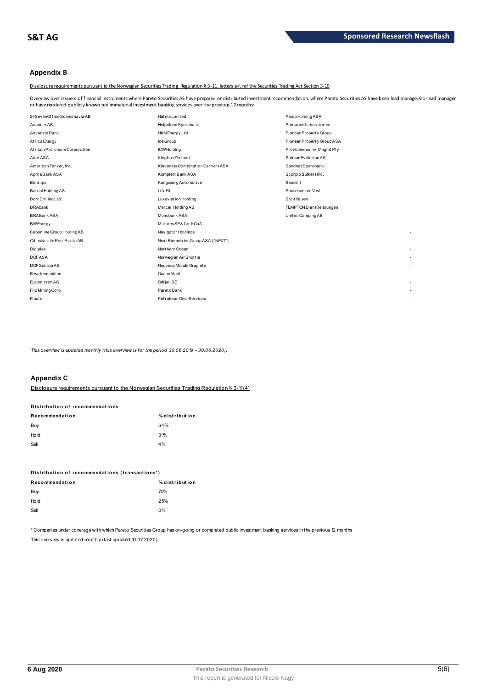### **Appendix B**

Disclosure requirements pursuant to the Norwegian Securities Trading Regulation § 3-11, letters e-f, ref the Securities Trading Act Section 3-10

Overview over issuers of financial instruments where Pareto Securities AS have prepared or distributed investment recommendation, where Pareto Securities AS have been lead manager/co-lead manager or have rendered publicly known not immaterial investment banking services over the previous 12 months:

| 24SevenOffice Scandinavia AB  | <b>Hafnia</b> Limited              | Pexip Holding ASA                 |
|-------------------------------|------------------------------------|-----------------------------------|
| Acconer AB                    | Helgeland Sparebank                | Pinewood Laborat ories            |
| Advanzia Bank                 | HKN Energy Ltd                     | Pioneer Property Group            |
| Africa Energy                 | Ice Group                          | Pioneer Property Group ASA        |
| African Petroleum Corporation | <b>ICWHolding</b>                  | ProvidencesInv. Mngmt Pty         |
| Aker ASA                      | Kingfish Zeeland                   | Salmon Evolution AS               |
| American Tanker, Inc.         | Klaveness Combination Carriers ASA | SandnesSparebank                  |
| Aprila Bank ASA               | Komplett Bank ASA                  | Scorpio BulkersInc.               |
| <b>Belships</b>               | Kongsberg Automotive               | Seadrill                          |
| Boreal Holding AS             | LifeFit                            | Sparebanken Vest                  |
| Borr Drilling Ltd.            | <b>Luxaviation Holding</b>         | Stolt Nilsen                      |
| <b>BRAbank</b>                | Mercell Holding AS                 | <b>TEMPTON Dienst leist ungen</b> |
| <b>BRABank ASA</b>            | Monobank ASA                       | United Camping AB                 |
| <b>BWEnergy</b>               | MutaresSE& Co. KGaA                | $\overline{\phantom{a}}$          |
| Cabonline Group Holding AB    | Navigator Holdings                 |                                   |
| Cibus Nordic Real Estate AB   | Next BiometricsGroup ASA ("NEXT")  | $\overline{\phantom{a}}$          |
| Digiplex                      | Northern Ocean                     | $\overline{\phantom{a}}$          |
| <b>DOFASA</b>                 | Norwegian Air Shuttle              | $\overline{\phantom{a}}$          |
| DOF Subsea AS                 | Nouveau Monde Graphite             | $\overline{\phantom{a}}$          |
| Erwe Immobilien               | Ocean Yield                        |                                   |
| Euromicron AG                 | Odfjell SE                         | $\overline{\phantom{a}}$          |
| Filo Mining Corp              | Pareto Bank                        |                                   |
| Floatel                       | Petroleum Geo-Services             | $\overline{\phantom{a}}$          |
|                               |                                    |                                   |

This overview is updated monthly (this overview is for the period 30.06.2019 - 30.06.2020).

### **Appendix C**

Disclosure requirements pursuant to the Norwegian Securities Trading Regulation § 3-11(4)

| Distribution of recommendations |                |  |  |  |
|---------------------------------|----------------|--|--|--|
| Recommendation                  | % distribution |  |  |  |
| Buy                             | 64%            |  |  |  |
| Hold                            | 31%            |  |  |  |
| Sell                            | 4%             |  |  |  |

| Distribution of recommendations (transactions*) |                |  |  |  |
|-------------------------------------------------|----------------|--|--|--|
| Recommendation                                  | % distribution |  |  |  |
| Buy                                             | 75%            |  |  |  |
| Hold                                            | 25%            |  |  |  |
| Sell                                            | 0%             |  |  |  |

\* Companies under coverage with which Pareto Securities Group has on-going or completed public investment banking services in the previous 12 months This overview is updated monthly (last updated 10.07.2020).